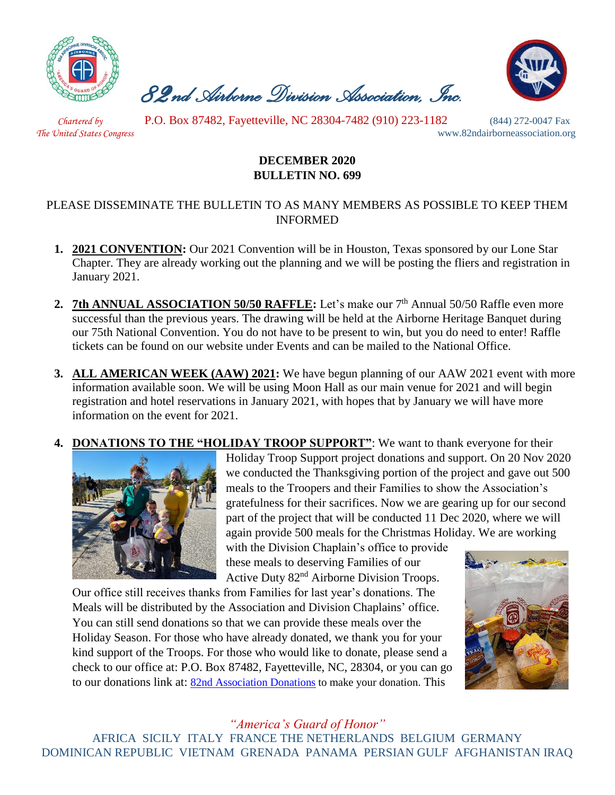

 *82nd Airborne Division Association, Inc.* 



 *Chartered by* P.O. Box 87482, Fayetteville, NC 28304-7482 (910) 223-1182 (844) 272-0047 Fax

*The United States Congress* www.82ndairborneassociation.org

# **DECEMBER 2020 BULLETIN NO. 699**

## PLEASE DISSEMINATE THE BULLETIN TO AS MANY MEMBERS AS POSSIBLE TO KEEP THEM INFORMED

- **1. 2021 CONVENTION:** Our 2021 Convention will be in Houston, Texas sponsored by our Lone Star Chapter. They are already working out the planning and we will be posting the fliers and registration in January 2021.
- 2. 7th ANNUAL ASSOCIATION 50/50 RAFFLE: Let's make our 7<sup>th</sup> Annual 50/50 Raffle even more successful than the previous years. The drawing will be held at the Airborne Heritage Banquet during our 75th National Convention. You do not have to be present to win, but you do need to enter! Raffle tickets can be found on our website under Events and can be mailed to the National Office.
- **3. ALL AMERICAN WEEK (AAW) 2021:** We have begun planning of our AAW 2021 event with more information available soon. We will be using Moon Hall as our main venue for 2021 and will begin registration and hotel reservations in January 2021, with hopes that by January we will have more information on the event for 2021.
- **4. DONATIONS TO THE "HOLIDAY TROOP SUPPORT"**: We want to thank everyone for their



Holiday Troop Support project donations and support. On 20 Nov 2020 we conducted the Thanksgiving portion of the project and gave out 500 meals to the Troopers and their Families to show the Association's gratefulness for their sacrifices. Now we are gearing up for our second part of the project that will be conducted 11 Dec 2020, where we will again provide 500 meals for the Christmas Holiday. We are working

with the Division Chaplain's office to provide these meals to deserving Families of our Active Duty 82nd Airborne Division Troops.

Our office still receives thanks from Families for last year's donations. The Meals will be distributed by the Association and Division Chaplains' office. You can still send donations so that we can provide these meals over the Holiday Season. For those who have already donated, we thank you for your kind support of the Troops. For those who would like to donate, please send a check to our office at: P.O. Box 87482, Fayetteville, NC, 28304, or you can go to our donations link at: [82nd Association Donations](http://www.82ndairborneassociation.org/donate.html) to make your donation. This



# *"America's Guard of Honor"*

AFRICA SICILY ITALY FRANCE THE NETHERLANDS BELGIUM GERMANY DOMINICAN REPUBLIC VIETNAM GRENADA PANAMA PERSIAN GULF AFGHANISTAN IRAQ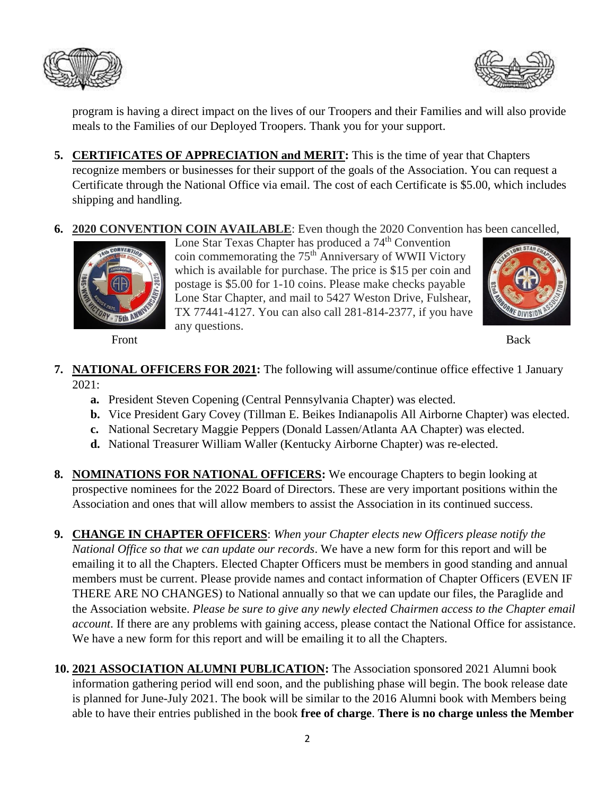



program is having a direct impact on the lives of our Troopers and their Families and will also provide meals to the Families of our Deployed Troopers. Thank you for your support.

- **5. CERTIFICATES OF APPRECIATION and MERIT:** This is the time of year that Chapters recognize members or businesses for their support of the goals of the Association. You can request a Certificate through the National Office via email. The cost of each Certificate is \$5.00, which includes shipping and handling.
- **6. 2020 CONVENTION COIN AVAILABLE**: Even though the 2020 Convention has been cancelled,



Lone Star Texas Chapter has produced a 74<sup>th</sup> Convention coin commemorating the 75<sup>th</sup> Anniversary of WWII Victory which is available for purchase. The price is \$15 per coin and postage is \$5.00 for 1-10 coins. Please make checks payable Lone Star Chapter, and mail to 5427 Weston Drive, Fulshear, TX 77441-4127. You can also call 281-814-2377, if you have any questions. Front Back



- **7. NATIONAL OFFICERS FOR 2021:** The following will assume/continue office effective 1 January 2021:
	- **a.** President Steven Copening (Central Pennsylvania Chapter) was elected.
	- **b.** Vice President Gary Covey (Tillman E. Beikes Indianapolis All Airborne Chapter) was elected.
	- **c.** National Secretary Maggie Peppers (Donald Lassen/Atlanta AA Chapter) was elected.
	- **d.** National Treasurer William Waller (Kentucky Airborne Chapter) was re-elected.
- **8. NOMINATIONS FOR NATIONAL OFFICERS:** We encourage Chapters to begin looking at prospective nominees for the 2022 Board of Directors. These are very important positions within the Association and ones that will allow members to assist the Association in its continued success.
- **9. CHANGE IN CHAPTER OFFICERS**: *When your Chapter elects new Officers please notify the National Office so that we can update our records*. We have a new form for this report and will be emailing it to all the Chapters. Elected Chapter Officers must be members in good standing and annual members must be current. Please provide names and contact information of Chapter Officers (EVEN IF THERE ARE NO CHANGES) to National annually so that we can update our files, the Paraglide and the Association website. *Please be sure to give any newly elected Chairmen access to the Chapter email account*. If there are any problems with gaining access, please contact the National Office for assistance. We have a new form for this report and will be emailing it to all the Chapters.
- **10. 2021 ASSOCIATION ALUMNI PUBLICATION:** The Association sponsored 2021 Alumni book information gathering period will end soon, and the publishing phase will begin. The book release date is planned for June-July 2021. The book will be similar to the 2016 Alumni book with Members being able to have their entries published in the book **free of charge**. **There is no charge unless the Member**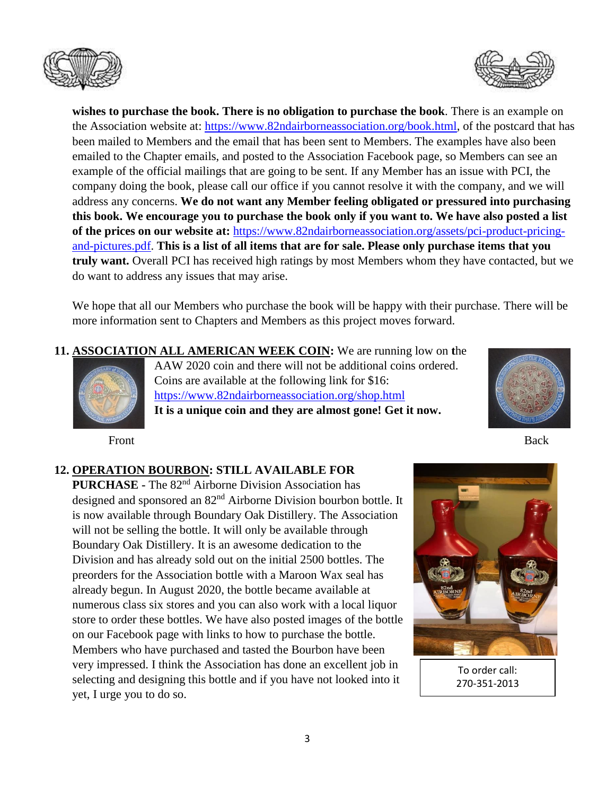



**wishes to purchase the book. There is no obligation to purchase the book**. There is an example on the Association website at: [https://www.82ndairborneassociation.org/book.html,](https://www.82ndairborneassociation.org/book.html) of the postcard that has been mailed to Members and the email that has been sent to Members. The examples have also been emailed to the Chapter emails, and posted to the Association Facebook page, so Members can see an example of the official mailings that are going to be sent. If any Member has an issue with PCI, the company doing the book, please call our office if you cannot resolve it with the company, and we will address any concerns. **We do not want any Member feeling obligated or pressured into purchasing this book. We encourage you to purchase the book only if you want to. We have also posted a list of the prices on our website at:** [https://www.82ndairborneassociation.org/assets/pci-product-pricing](https://www.82ndairborneassociation.org/assets/pci-product-pricing-and-pictures.pdf)[and-pictures.pdf.](https://www.82ndairborneassociation.org/assets/pci-product-pricing-and-pictures.pdf) **This is a list of all items that are for sale. Please only purchase items that you truly want.** Overall PCI has received high ratings by most Members whom they have contacted, but we do want to address any issues that may arise.

We hope that all our Members who purchase the book will be happy with their purchase. There will be more information sent to Chapters and Members as this project moves forward.

**11. ASSOCIATION ALL AMERICAN WEEK COIN:** We are running low on **t**he AAW 2020 coin and there will not be additional coins ordered.



Coins are available at the following link for \$16: <https://www.82ndairborneassociation.org/shop.html> **It is a unique coin and they are almost gone! Get it now.**



Front Back

#### **12. OPERATION BOURBON: STILL AVAILABLE FOR**

**PURCHASE -** The 82nd Airborne Division Association has designed and sponsored an 82nd Airborne Division bourbon bottle. It is now available through Boundary Oak Distillery. The Association will not be selling the bottle. It will only be available through Boundary Oak Distillery. It is an awesome dedication to the Division and has already sold out on the initial 2500 bottles. The preorders for the Association bottle with a Maroon Wax seal has already begun. In August 2020, the bottle became available at numerous class six stores and you can also work with a local liquor store to order these bottles. We have also posted images of the bottle on our Facebook page with links to how to purchase the bottle. Members who have purchased and tasted the Bourbon have been very impressed. I think the Association has done an excellent job in selecting and designing this bottle and if you have not looked into it yet, I urge you to do so.



To order call: 270-351-2013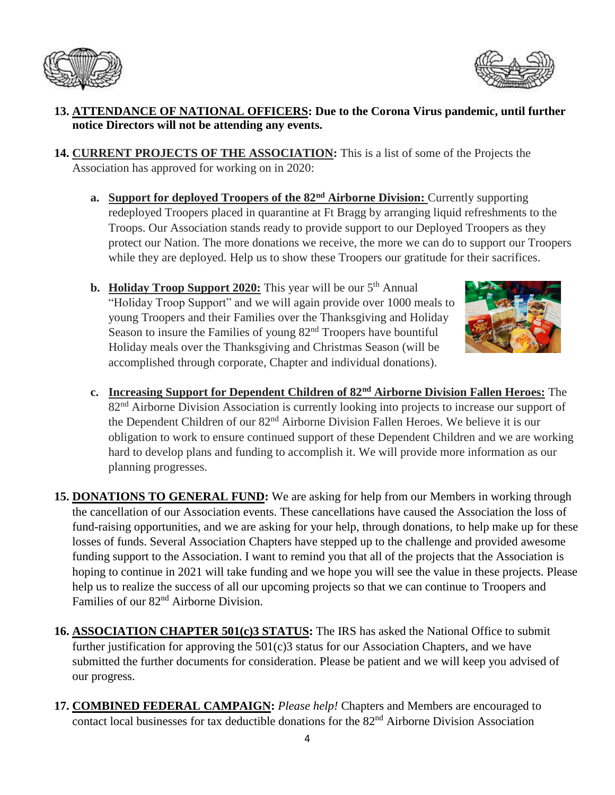



## **13. ATTENDANCE OF NATIONAL OFFICERS: Due to the Corona Virus pandemic, until further notice Directors will not be attending any events.**

- **14. CURRENT PROJECTS OF THE ASSOCIATION:** This is a list of some of the Projects the Association has approved for working on in 2020:
	- **a. Support for deployed Troopers of the 82nd Airborne Division:** Currently supporting redeployed Troopers placed in quarantine at Ft Bragg by arranging liquid refreshments to the Troops. Our Association stands ready to provide support to our Deployed Troopers as they protect our Nation. The more donations we receive, the more we can do to support our Troopers while they are deployed. Help us to show these Troopers our gratitude for their sacrifices.
	- **b. Holiday Troop Support 2020:** This year will be our 5<sup>th</sup> Annual "Holiday Troop Support" and we will again provide over 1000 meals to young Troopers and their Families over the Thanksgiving and Holiday Season to insure the Families of young  $82<sup>nd</sup>$  Troopers have bountiful Holiday meals over the Thanksgiving and Christmas Season (will be accomplished through corporate, Chapter and individual donations).



- **c. Increasing Support for Dependent Children of 82nd Airborne Division Fallen Heroes:** The 82<sup>nd</sup> Airborne Division Association is currently looking into projects to increase our support of the Dependent Children of our 82nd Airborne Division Fallen Heroes. We believe it is our obligation to work to ensure continued support of these Dependent Children and we are working hard to develop plans and funding to accomplish it. We will provide more information as our planning progresses.
- **15. DONATIONS TO GENERAL FUND:** We are asking for help from our Members in working through the cancellation of our Association events. These cancellations have caused the Association the loss of fund-raising opportunities, and we are asking for your help, through donations, to help make up for these losses of funds. Several Association Chapters have stepped up to the challenge and provided awesome funding support to the Association. I want to remind you that all of the projects that the Association is hoping to continue in 2021 will take funding and we hope you will see the value in these projects. Please help us to realize the success of all our upcoming projects so that we can continue to Troopers and Families of our 82<sup>nd</sup> Airborne Division.
- **16. ASSOCIATION CHAPTER 501(c)3 STATUS:** The IRS has asked the National Office to submit further justification for approving the 501(c)3 status for our Association Chapters, and we have submitted the further documents for consideration. Please be patient and we will keep you advised of our progress.
- **17. COMBINED FEDERAL CAMPAIGN:** *Please help!* Chapters and Members are encouraged to contact local businesses for tax deductible donations for the 82nd Airborne Division Association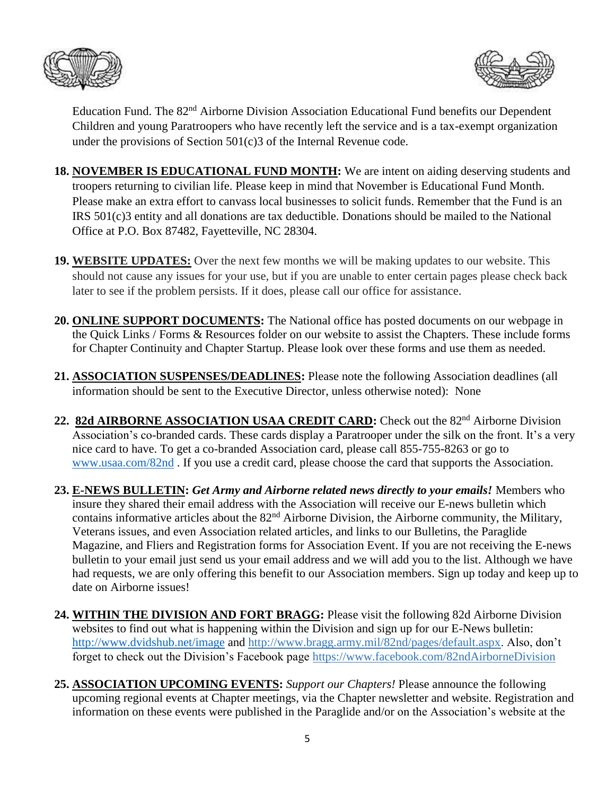



Education Fund. The 82<sup>nd</sup> Airborne Division Association Educational Fund benefits our Dependent Children and young Paratroopers who have recently left the service and is a tax-exempt organization under the provisions of Section 501(c)3 of the Internal Revenue code.

- **18. NOVEMBER IS EDUCATIONAL FUND MONTH:** We are intent on aiding deserving students and troopers returning to civilian life. Please keep in mind that November is Educational Fund Month. Please make an extra effort to canvass local businesses to solicit funds. Remember that the Fund is an IRS 501(c)3 entity and all donations are tax deductible. Donations should be mailed to the National Office at P.O. Box 87482, Fayetteville, NC 28304.
- **19. WEBSITE UPDATES:** Over the next few months we will be making updates to our website. This should not cause any issues for your use, but if you are unable to enter certain pages please check back later to see if the problem persists. If it does, please call our office for assistance.
- **20. ONLINE SUPPORT DOCUMENTS:** The National office has posted documents on our webpage in the Quick Links / Forms & Resources folder on our website to assist the Chapters. These include forms for Chapter Continuity and Chapter Startup. Please look over these forms and use them as needed.
- **21. ASSOCIATION SUSPENSES/DEADLINES:** Please note the following Association deadlines (all information should be sent to the Executive Director, unless otherwise noted): None
- 22. 82d AIRBORNE ASSOCIATION USAA CREDIT CARD: Check out the 82<sup>nd</sup> Airborne Division Association's co-branded cards. These cards display a Paratrooper under the silk on the front. It's a very nice card to have. To get a co-branded Association card, please call 855-755-8263 or go to [www.usaa.com/82nd](http://www.usaa.com/82nd) . If you use a credit card, please choose the card that supports the Association.
- **23. E-NEWS BULLETIN:** *Get Army and Airborne related news directly to your emails!* Members who insure they shared their email address with the Association will receive our E-news bulletin which contains informative articles about the 82<sup>nd</sup> Airborne Division, the Airborne community, the Military, Veterans issues, and even Association related articles, and links to our Bulletins, the Paraglide Magazine, and Fliers and Registration forms for Association Event. If you are not receiving the E-news bulletin to your email just send us your email address and we will add you to the list. Although we have had requests, we are only offering this benefit to our Association members. Sign up today and keep up to date on Airborne issues!
- **24. WITHIN THE DIVISION AND FORT BRAGG:** Please visit the following 82d Airborne Division websites to find out what is happening within the Division and sign up for our E-News bulletin: <http://www.dvidshub.net/image> and [http://www.bragg.army.mil/82nd/pages/default.aspx.](http://www.bragg.army.mil/82ND/Pages/default.aspx) Also, don't forget to check out the Division's Facebook page<https://www.facebook.com/82ndAirborneDivision>
- **25. ASSOCIATION UPCOMING EVENTS:** *Support our Chapters!* Please announce the following upcoming regional events at Chapter meetings, via the Chapter newsletter and website. Registration and information on these events were published in the Paraglide and/or on the Association's website at the